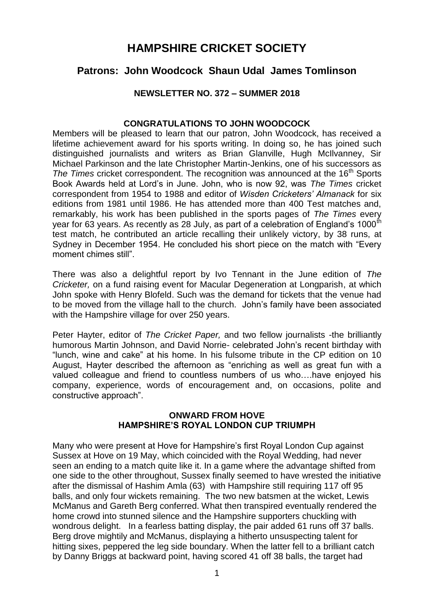# **HAMPSHIRE CRICKET SOCIETY**

# **Patrons: John Woodcock Shaun Udal James Tomlinson**

## **NEWSLETTER NO. 372 – SUMMER 2018**

# **CONGRATULATIONS TO JOHN WOODCOCK**

Members will be pleased to learn that our patron, John Woodcock, has received a lifetime achievement award for his sports writing. In doing so, he has joined such distinguished journalists and writers as Brian Glanville, Hugh McIlvanney, Sir Michael Parkinson and the late Christopher Martin-Jenkins, one of his successors as *The Times* cricket correspondent. The recognition was announced at the 16<sup>th</sup> Sports Book Awards held at Lord's in June. John, who is now 92, was *The Times* cricket correspondent from 1954 to 1988 and editor of *Wisden Cricketers' Almanack* for six editions from 1981 until 1986. He has attended more than 400 Test matches and, remarkably, his work has been published in the sports pages of *The Times* every year for 63 years. As recently as 28 July, as part of a celebration of England's 1000<sup>th</sup> test match, he contributed an article recalling their unlikely victory, by 38 runs, at Sydney in December 1954. He concluded his short piece on the match with "Every moment chimes still".

There was also a delightful report by Ivo Tennant in the June edition of *The Cricketer,* on a fund raising event for Macular Degeneration at Longparish, at which John spoke with Henry Blofeld. Such was the demand for tickets that the venue had to be moved from the village hall to the church. John's family have been associated with the Hampshire village for over 250 years.

Peter Hayter, editor of *The Cricket Paper,* and two fellow journalists -the brilliantly humorous Martin Johnson, and David Norrie- celebrated John's recent birthday with "lunch, wine and cake" at his home. In his fulsome tribute in the CP edition on 10 August, Hayter described the afternoon as "enriching as well as great fun with a valued colleague and friend to countless numbers of us who….have enjoyed his company, experience, words of encouragement and, on occasions, polite and constructive approach".

### **ONWARD FROM HOVE HAMPSHIRE'S ROYAL LONDON CUP TRIUMPH**

Many who were present at Hove for Hampshire's first Royal London Cup against Sussex at Hove on 19 May, which coincided with the Royal Wedding, had never seen an ending to a match quite like it. In a game where the advantage shifted from one side to the other throughout, Sussex finally seemed to have wrested the initiative after the dismissal of Hashim Amla (63) with Hampshire still requiring 117 off 95 balls, and only four wickets remaining. The two new batsmen at the wicket, Lewis McManus and Gareth Berg conferred. What then transpired eventually rendered the home crowd into stunned silence and the Hampshire supporters chuckling with wondrous delight. In a fearless batting display, the pair added 61 runs off 37 balls. Berg drove mightily and McManus, displaying a hitherto unsuspecting talent for hitting sixes, peppered the leg side boundary. When the latter fell to a brilliant catch by Danny Briggs at backward point, having scored 41 off 38 balls, the target had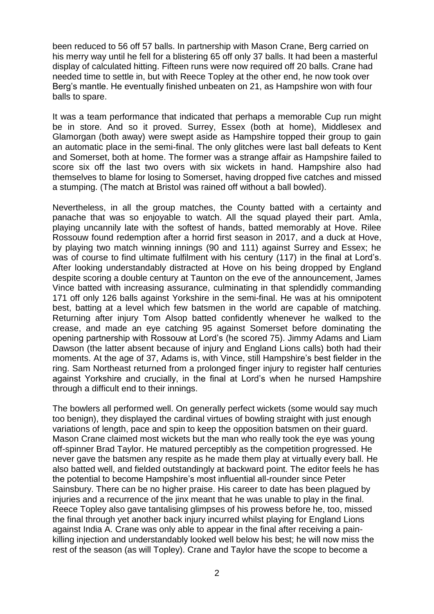been reduced to 56 off 57 balls. In partnership with Mason Crane, Berg carried on his merry way until he fell for a blistering 65 off only 37 balls. It had been a masterful display of calculated hitting. Fifteen runs were now required off 20 balls. Crane had needed time to settle in, but with Reece Topley at the other end, he now took over Berg's mantle. He eventually finished unbeaten on 21, as Hampshire won with four balls to spare.

It was a team performance that indicated that perhaps a memorable Cup run might be in store. And so it proved. Surrey, Essex (both at home), Middlesex and Glamorgan (both away) were swept aside as Hampshire topped their group to gain an automatic place in the semi-final. The only glitches were last ball defeats to Kent and Somerset, both at home. The former was a strange affair as Hampshire failed to score six off the last two overs with six wickets in hand. Hampshire also had themselves to blame for losing to Somerset, having dropped five catches and missed a stumping. (The match at Bristol was rained off without a ball bowled).

Nevertheless, in all the group matches, the County batted with a certainty and panache that was so enjoyable to watch. All the squad played their part. Amla, playing uncannily late with the softest of hands, batted memorably at Hove. Rilee Rossouw found redemption after a horrid first season in 2017, and a duck at Hove, by playing two match winning innings (90 and 111) against Surrey and Essex; he was of course to find ultimate fulfilment with his century (117) in the final at Lord's. After looking understandably distracted at Hove on his being dropped by England despite scoring a double century at Taunton on the eve of the announcement, James Vince batted with increasing assurance, culminating in that splendidly commanding 171 off only 126 balls against Yorkshire in the semi-final. He was at his omnipotent best, batting at a level which few batsmen in the world are capable of matching. Returning after injury Tom Alsop batted confidently whenever he walked to the crease, and made an eye catching 95 against Somerset before dominating the opening partnership with Rossouw at Lord's (he scored 75). Jimmy Adams and Liam Dawson (the latter absent because of injury and England Lions calls) both had their moments. At the age of 37, Adams is, with Vince, still Hampshire's best fielder in the ring. Sam Northeast returned from a prolonged finger injury to register half centuries against Yorkshire and crucially, in the final at Lord's when he nursed Hampshire through a difficult end to their innings.

The bowlers all performed well. On generally perfect wickets (some would say much too benign), they displayed the cardinal virtues of bowling straight with just enough variations of length, pace and spin to keep the opposition batsmen on their guard. Mason Crane claimed most wickets but the man who really took the eye was young off-spinner Brad Taylor. He matured perceptibly as the competition progressed. He never gave the batsmen any respite as he made them play at virtually every ball. He also batted well, and fielded outstandingly at backward point. The editor feels he has the potential to become Hampshire's most influential all-rounder since Peter Sainsbury. There can be no higher praise. His career to date has been plagued by injuries and a recurrence of the jinx meant that he was unable to play in the final. Reece Topley also gave tantalising glimpses of his prowess before he, too, missed the final through yet another back injury incurred whilst playing for England Lions against India A. Crane was only able to appear in the final after receiving a painkilling injection and understandably looked well below his best; he will now miss the rest of the season (as will Topley). Crane and Taylor have the scope to become a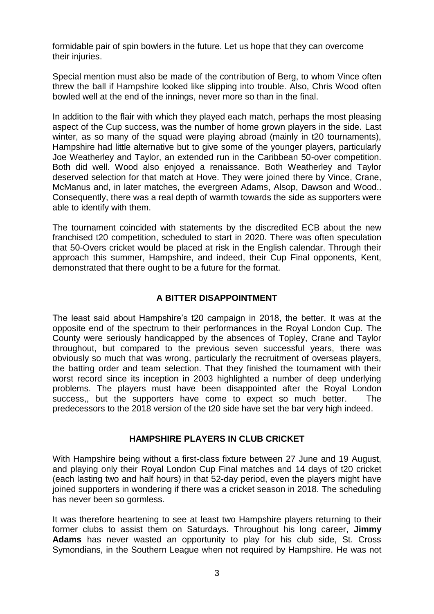formidable pair of spin bowlers in the future. Let us hope that they can overcome their injuries.

Special mention must also be made of the contribution of Berg, to whom Vince often threw the ball if Hampshire looked like slipping into trouble. Also, Chris Wood often bowled well at the end of the innings, never more so than in the final.

In addition to the flair with which they played each match, perhaps the most pleasing aspect of the Cup success, was the number of home grown players in the side. Last winter, as so many of the squad were playing abroad (mainly in t20 tournaments), Hampshire had little alternative but to give some of the younger players, particularly Joe Weatherley and Taylor, an extended run in the Caribbean 50-over competition. Both did well. Wood also enjoyed a renaissance. Both Weatherley and Taylor deserved selection for that match at Hove. They were joined there by Vince, Crane, McManus and, in later matches, the evergreen Adams, Alsop, Dawson and Wood.. Consequently, there was a real depth of warmth towards the side as supporters were able to identify with them.

The tournament coincided with statements by the discredited ECB about the new franchised t20 competition, scheduled to start in 2020. There was often speculation that 50-Overs cricket would be placed at risk in the English calendar. Through their approach this summer, Hampshire, and indeed, their Cup Final opponents, Kent, demonstrated that there ought to be a future for the format.

# **A BITTER DISAPPOINTMENT**

The least said about Hampshire's t20 campaign in 2018, the better. It was at the opposite end of the spectrum to their performances in the Royal London Cup. The County were seriously handicapped by the absences of Topley, Crane and Taylor throughout, but compared to the previous seven successful years, there was obviously so much that was wrong, particularly the recruitment of overseas players, the batting order and team selection. That they finished the tournament with their worst record since its inception in 2003 highlighted a number of deep underlying problems. The players must have been disappointed after the Royal London success,, but the supporters have come to expect so much better. The predecessors to the 2018 version of the t20 side have set the bar very high indeed.

### **HAMPSHIRE PLAYERS IN CLUB CRICKET**

With Hampshire being without a first-class fixture between 27 June and 19 August, and playing only their Royal London Cup Final matches and 14 days of t20 cricket (each lasting two and half hours) in that 52-day period, even the players might have joined supporters in wondering if there was a cricket season in 2018. The scheduling has never been so gormless.

It was therefore heartening to see at least two Hampshire players returning to their former clubs to assist them on Saturdays. Throughout his long career, **Jimmy Adams** has never wasted an opportunity to play for his club side, St. Cross Symondians, in the Southern League when not required by Hampshire. He was not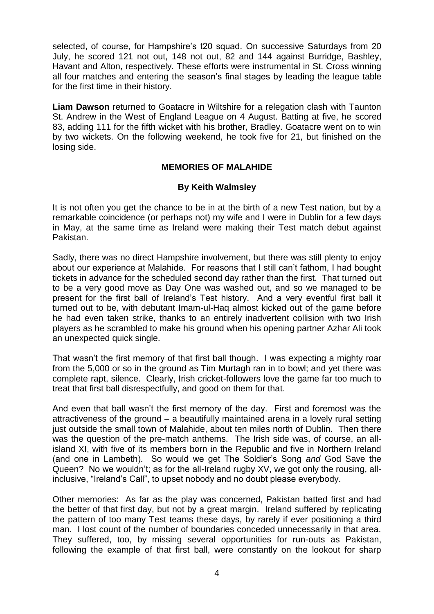selected, of course, for Hampshire's t20 squad. On successive Saturdays from 20 July, he scored 121 not out, 148 not out, 82 and 144 against Burridge, Bashley, Havant and Alton, respectively. These efforts were instrumental in St. Cross winning all four matches and entering the season's final stages by leading the league table for the first time in their history.

**Liam Dawson** returned to Goatacre in Wiltshire for a relegation clash with Taunton St. Andrew in the West of England League on 4 August. Batting at five, he scored 83, adding 111 for the fifth wicket with his brother, Bradley. Goatacre went on to win by two wickets. On the following weekend, he took five for 21, but finished on the losing side.

# **MEMORIES OF MALAHIDE**

### **By Keith Walmsley**

It is not often you get the chance to be in at the birth of a new Test nation, but by a remarkable coincidence (or perhaps not) my wife and I were in Dublin for a few days in May, at the same time as Ireland were making their Test match debut against Pakistan.

Sadly, there was no direct Hampshire involvement, but there was still plenty to enjoy about our experience at Malahide. For reasons that I still can't fathom, I had bought tickets in advance for the scheduled second day rather than the first. That turned out to be a very good move as Day One was washed out, and so we managed to be present for the first ball of Ireland's Test history. And a very eventful first ball it turned out to be, with debutant Imam-ul-Haq almost kicked out of the game before he had even taken strike, thanks to an entirely inadvertent collision with two Irish players as he scrambled to make his ground when his opening partner Azhar Ali took an unexpected quick single.

That wasn't the first memory of that first ball though. I was expecting a mighty roar from the 5,000 or so in the ground as Tim Murtagh ran in to bowl; and yet there was complete rapt, silence. Clearly, Irish cricket-followers love the game far too much to treat that first ball disrespectfully, and good on them for that.

And even that ball wasn't the first memory of the day. First and foremost was the attractiveness of the ground – a beautifully maintained arena in a lovely rural setting just outside the small town of Malahide, about ten miles north of Dublin. Then there was the question of the pre-match anthems. The Irish side was, of course, an allisland XI, with five of its members born in the Republic and five in Northern Ireland (and one in Lambeth). So would we get The Soldier's Song *and* God Save the Queen? No we wouldn't; as for the all-Ireland rugby XV, we got only the rousing, allinclusive, "Ireland's Call", to upset nobody and no doubt please everybody.

Other memories: As far as the play was concerned, Pakistan batted first and had the better of that first day, but not by a great margin. Ireland suffered by replicating the pattern of too many Test teams these days, by rarely if ever positioning a third man. I lost count of the number of boundaries conceded unnecessarily in that area. They suffered, too, by missing several opportunities for run-outs as Pakistan, following the example of that first ball, were constantly on the lookout for sharp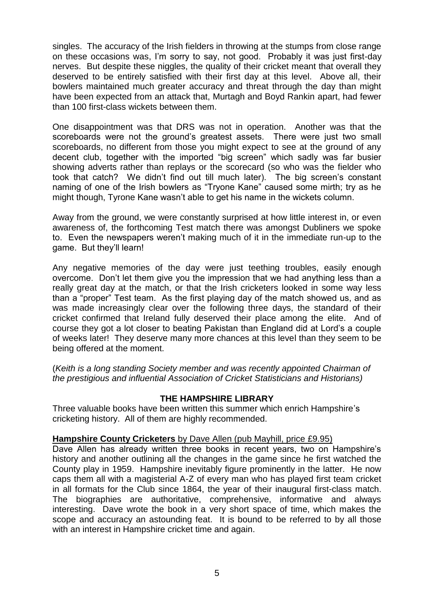singles. The accuracy of the Irish fielders in throwing at the stumps from close range on these occasions was, I'm sorry to say, not good. Probably it was just first-day nerves. But despite these niggles, the quality of their cricket meant that overall they deserved to be entirely satisfied with their first day at this level. Above all, their bowlers maintained much greater accuracy and threat through the day than might have been expected from an attack that, Murtagh and Boyd Rankin apart, had fewer than 100 first-class wickets between them.

One disappointment was that DRS was not in operation. Another was that the scoreboards were not the ground's greatest assets. There were just two small scoreboards, no different from those you might expect to see at the ground of any decent club, together with the imported "big screen" which sadly was far busier showing adverts rather than replays or the scorecard (so who was the fielder who took that catch? We didn't find out till much later). The big screen's constant naming of one of the Irish bowlers as "Tryone Kane" caused some mirth; try as he might though, Tyrone Kane wasn't able to get his name in the wickets column.

Away from the ground, we were constantly surprised at how little interest in, or even awareness of, the forthcoming Test match there was amongst Dubliners we spoke to. Even the newspapers weren't making much of it in the immediate run-up to the game. But they'll learn!

Any negative memories of the day were just teething troubles, easily enough overcome. Don't let them give you the impression that we had anything less than a really great day at the match, or that the Irish cricketers looked in some way less than a "proper" Test team. As the first playing day of the match showed us, and as was made increasingly clear over the following three days, the standard of their cricket confirmed that Ireland fully deserved their place among the elite. And of course they got a lot closer to beating Pakistan than England did at Lord's a couple of weeks later! They deserve many more chances at this level than they seem to be being offered at the moment.

(*Keith is a long standing Society member and was recently appointed Chairman of the prestigious and influential Association of Cricket Statisticians and Historians)*

# **THE HAMPSHIRE LIBRARY**

Three valuable books have been written this summer which enrich Hampshire's cricketing history. All of them are highly recommended.

### **Hampshire County Cricketers** by Dave Allen (pub Mayhill, price £9.95)

Dave Allen has already written three books in recent years, two on Hampshire's history and another outlining all the changes in the game since he first watched the County play in 1959. Hampshire inevitably figure prominently in the latter. He now caps them all with a magisterial A-Z of every man who has played first team cricket in all formats for the Club since 1864, the year of their inaugural first-class match. The biographies are authoritative, comprehensive, informative and always interesting. Dave wrote the book in a very short space of time, which makes the scope and accuracy an astounding feat. It is bound to be referred to by all those with an interest in Hampshire cricket time and again.